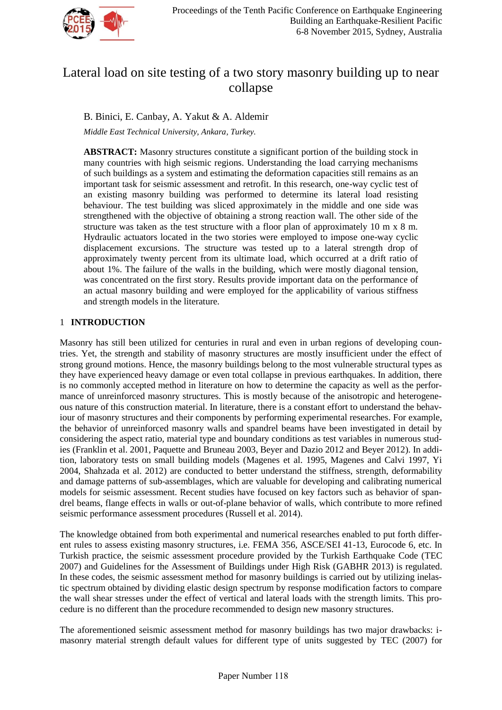

# Lateral load on site testing of a two story masonry building up to near collapse

# B. Binici, E. Canbay, A. Yakut & A. Aldemir

*Middle East Technical University, Ankara, Turkey.*

**ABSTRACT:** Masonry structures constitute a significant portion of the building stock in many countries with high seismic regions. Understanding the load carrying mechanisms of such buildings as a system and estimating the deformation capacities still remains as an important task for seismic assessment and retrofit. In this research, one-way cyclic test of an existing masonry building was performed to determine its lateral load resisting behaviour. The test building was sliced approximately in the middle and one side was strengthened with the objective of obtaining a strong reaction wall. The other side of the structure was taken as the test structure with a floor plan of approximately 10 m x 8 m. Hydraulic actuators located in the two stories were employed to impose one-way cyclic displacement excursions. The structure was tested up to a lateral strength drop of approximately twenty percent from its ultimate load, which occurred at a drift ratio of about 1%. The failure of the walls in the building, which were mostly diagonal tension, was concentrated on the first story. Results provide important data on the performance of an actual masonry building and were employed for the applicability of various stiffness and strength models in the literature.

### 1 **INTRODUCTION**

Masonry has still been utilized for centuries in rural and even in urban regions of developing countries. Yet, the strength and stability of masonry structures are mostly insufficient under the effect of strong ground motions. Hence, the masonry buildings belong to the most vulnerable structural types as they have experienced heavy damage or even total collapse in previous earthquakes. In addition, there is no commonly accepted method in literature on how to determine the capacity as well as the performance of unreinforced masonry structures. This is mostly because of the anisotropic and heterogeneous nature of this construction material. In literature, there is a constant effort to understand the behaviour of masonry structures and their components by performing experimental researches. For example, the behavior of unreinforced masonry walls and spandrel beams have been investigated in detail by considering the aspect ratio, material type and boundary conditions as test variables in numerous studies (Franklin et al. 2001, Paquette and Bruneau 2003, Beyer and Dazio 2012 and Beyer 2012). In addition, laboratory tests on small building models (Magenes et al. 1995, Magenes and Calvi 1997, Yi 2004, Shahzada et al. 2012) are conducted to better understand the stiffness, strength, deformability and damage patterns of sub-assemblages, which are valuable for developing and calibrating numerical models for seismic assessment. Recent studies have focused on key factors such as behavior of spandrel beams, flange effects in walls or out-of-plane behavior of walls, which contribute to more refined seismic performance assessment procedures (Russell et al. 2014).

The knowledge obtained from both experimental and numerical researches enabled to put forth different rules to assess existing masonry structures, i.e. FEMA 356, ASCE/SEI 41-13, Eurocode 6, etc. In Turkish practice, the seismic assessment procedure provided by the Turkish Earthquake Code (TEC 2007) and Guidelines for the Assessment of Buildings under High Risk (GABHR 2013) is regulated. In these codes, the seismic assessment method for masonry buildings is carried out by utilizing inelastic spectrum obtained by dividing elastic design spectrum by response modification factors to compare the wall shear stresses under the effect of vertical and lateral loads with the strength limits. This procedure is no different than the procedure recommended to design new masonry structures.

The aforementioned seismic assessment method for masonry buildings has two major drawbacks: imasonry material strength default values for different type of units suggested by TEC (2007) for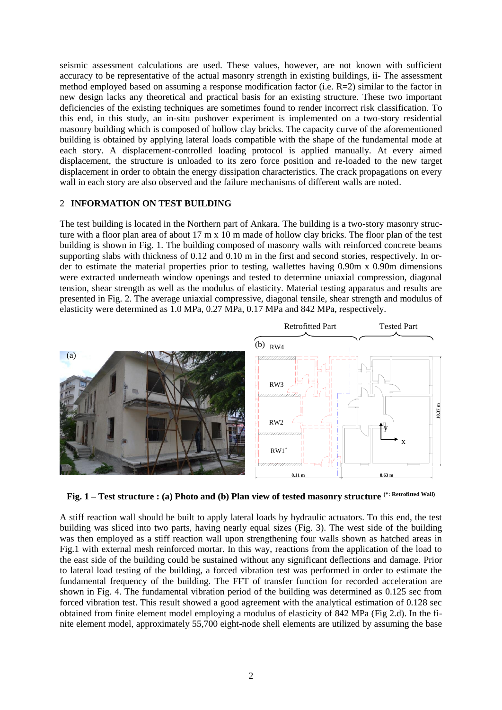seismic assessment calculations are used. These values, however, are not known with sufficient accuracy to be representative of the actual masonry strength in existing buildings, ii- The assessment method employed based on assuming a response modification factor (i.e. R=2) similar to the factor in new design lacks any theoretical and practical basis for an existing structure. These two important deficiencies of the existing techniques are sometimes found to render incorrect risk classification. To this end, in this study, an in-situ pushover experiment is implemented on a two-story residential masonry building which is composed of hollow clay bricks. The capacity curve of the aforementioned building is obtained by applying lateral loads compatible with the shape of the fundamental mode at each story. A displacement-controlled loading protocol is applied manually. At every aimed displacement, the structure is unloaded to its zero force position and re-loaded to the new target displacement in order to obtain the energy dissipation characteristics. The crack propagations on every wall in each story are also observed and the failure mechanisms of different walls are noted.

#### 2 **INFORMATION ON TEST BUILDING**

The test building is located in the Northern part of Ankara. The building is a two-story masonry structure with a floor plan area of about 17 m x 10 m made of hollow clay bricks. The floor plan of the test building is shown in Fig. 1. The building composed of masonry walls with reinforced concrete beams supporting slabs with thickness of 0.12 and 0.10 m in the first and second stories, respectively. In order to estimate the material properties prior to testing, wallettes having 0.90m x 0.90m dimensions were extracted underneath window openings and tested to determine uniaxial compression, diagonal tension, shear strength as well as the modulus of elasticity. Material testing apparatus and results are presented in Fig. 2. The average uniaxial compressive, diagonal tensile, shear strength and modulus of elasticity were determined as 1.0 MPa, 0.27 MPa, 0.17 MPa and 842 MPa, respectively.



**Fig. 1 – Test structure : (a) Photo and (b) Plan view of tested masonry structure (\*: Retrofitted Wall)**

A stiff reaction wall should be built to apply lateral loads by hydraulic actuators. To this end, the test building was sliced into two parts, having nearly equal sizes (Fig. 3). The west side of the building was then employed as a stiff reaction wall upon strengthening four walls shown as hatched areas in Fig.1 with external mesh reinforced mortar. In this way, reactions from the application of the load to the east side of the building could be sustained without any significant deflections and damage. Prior to lateral load testing of the building, a forced vibration test was performed in order to estimate the fundamental frequency of the building. The FFT of transfer function for recorded acceleration are shown in Fig. 4. The fundamental vibration period of the building was determined as 0.125 sec from forced vibration test. This result showed a good agreement with the analytical estimation of 0.128 sec obtained from finite element model employing a modulus of elasticity of 842 MPa (Fig 2.d). In the finite element model, approximately 55,700 eight-node shell elements are utilized by assuming the base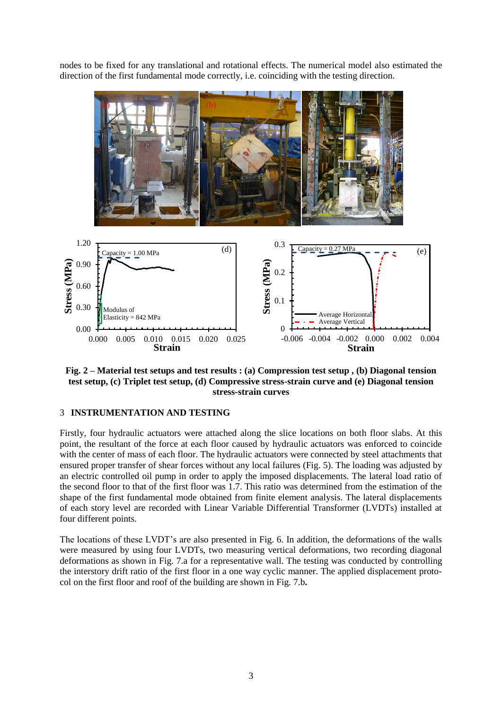nodes to be fixed for any translational and rotational effects. The numerical model also estimated the direction of the first fundamental mode correctly, i.e. coinciding with the testing direction.



**Fig. 2 – Material test setups and test results : (a) Compression test setup , (b) Diagonal tension test setup, (c) Triplet test setup, (d) Compressive stress-strain curve and (e) Diagonal tension stress-strain curves**

#### 3 **INSTRUMENTATION AND TESTING**

Firstly, four hydraulic actuators were attached along the slice locations on both floor slabs. At this point, the resultant of the force at each floor caused by hydraulic actuators was enforced to coincide with the center of mass of each floor. The hydraulic actuators were connected by steel attachments that ensured proper transfer of shear forces without any local failures (Fig. 5). The loading was adjusted by an electric controlled oil pump in order to apply the imposed displacements. The lateral load ratio of the second floor to that of the first floor was 1.7. This ratio was determined from the estimation of the shape of the first fundamental mode obtained from finite element analysis. The lateral displacements of each story level are recorded with Linear Variable Differential Transformer (LVDTs) installed at four different points.

The locations of these LVDT's are also presented in Fig. 6. In addition, the deformations of the walls were measured by using four LVDTs, two measuring vertical deformations, two recording diagonal deformations as shown in Fig. 7.a for a representative wall. The testing was conducted by controlling the interstory drift ratio of the first floor in a one way cyclic manner. The applied displacement protocol on the first floor and roof of the building are shown in Fig. 7.b**.**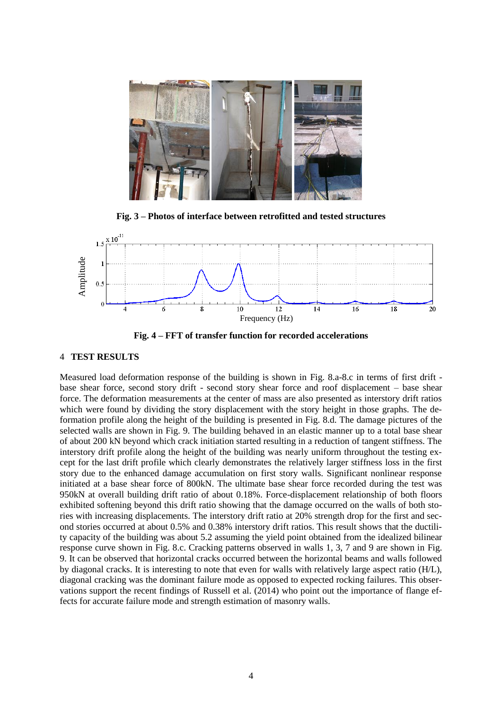

**Fig. 3 – Photos of interface between retrofitted and tested structures**



**Fig. 4 – FFT of transfer function for recorded accelerations**

#### 4 **TEST RESULTS**

Measured load deformation response of the building is shown in Fig. 8.a-8.c in terms of first drift base shear force, second story drift - second story shear force and roof displacement – base shear force. The deformation measurements at the center of mass are also presented as interstory drift ratios which were found by dividing the story displacement with the story height in those graphs. The deformation profile along the height of the building is presented in Fig. 8.d. The damage pictures of the selected walls are shown in Fig. 9. The building behaved in an elastic manner up to a total base shear of about 200 kN beyond which crack initiation started resulting in a reduction of tangent stiffness. The interstory drift profile along the height of the building was nearly uniform throughout the testing except for the last drift profile which clearly demonstrates the relatively larger stiffness loss in the first story due to the enhanced damage accumulation on first story walls. Significant nonlinear response initiated at a base shear force of 800kN. The ultimate base shear force recorded during the test was 950kN at overall building drift ratio of about 0.18%. Force-displacement relationship of both floors exhibited softening beyond this drift ratio showing that the damage occurred on the walls of both stories with increasing displacements. The interstory drift ratio at 20% strength drop for the first and second stories occurred at about 0.5% and 0.38% interstory drift ratios. This result shows that the ductility capacity of the building was about 5.2 assuming the yield point obtained from the idealized bilinear response curve shown in Fig. 8.c. Cracking patterns observed in walls 1, 3, 7 and 9 are shown in Fig. 9. It can be observed that horizontal cracks occurred between the horizontal beams and walls followed by diagonal cracks. It is interesting to note that even for walls with relatively large aspect ratio (H/L), diagonal cracking was the dominant failure mode as opposed to expected rocking failures. This observations support the recent findings of Russell et al. (2014) who point out the importance of flange effects for accurate failure mode and strength estimation of masonry walls.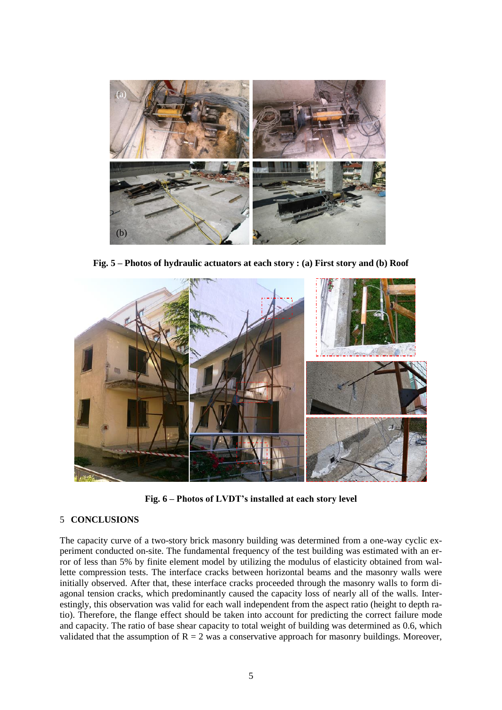

**Fig. 5 – Photos of hydraulic actuators at each story : (a) First story and (b) Roof**



**Fig. 6 – Photos of LVDT's installed at each story level**

#### 5 **CONCLUSIONS**

The capacity curve of a two-story brick masonry building was determined from a one-way cyclic experiment conducted on-site. The fundamental frequency of the test building was estimated with an error of less than 5% by finite element model by utilizing the modulus of elasticity obtained from wallette compression tests. The interface cracks between horizontal beams and the masonry walls were initially observed. After that, these interface cracks proceeded through the masonry walls to form diagonal tension cracks, which predominantly caused the capacity loss of nearly all of the walls. Interestingly, this observation was valid for each wall independent from the aspect ratio (height to depth ratio). Therefore, the flange effect should be taken into account for predicting the correct failure mode and capacity. The ratio of base shear capacity to total weight of building was determined as 0.6, which validated that the assumption of  $R = 2$  was a conservative approach for masonry buildings. Moreover,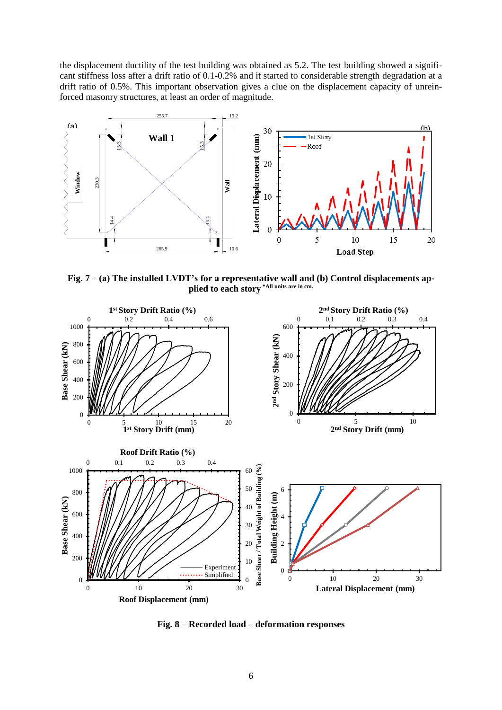the displacement ductility of the test building was obtained as 5.2. The test building showed a significant stiffness loss after a drift ratio of 0.1-0.2% and it started to considerable strength degradation at a drift ratio of 0.5%. This important observation gives a clue on the displacement capacity of unreinforced masonry structures, at least an order of magnitude.



**Fig. 7 – (a) The installed LVDT's for a representative wall and (b) Control displacements ap**plied to each story \*All units are in cm.



**Fig. 8 – Recorded load – deformation responses**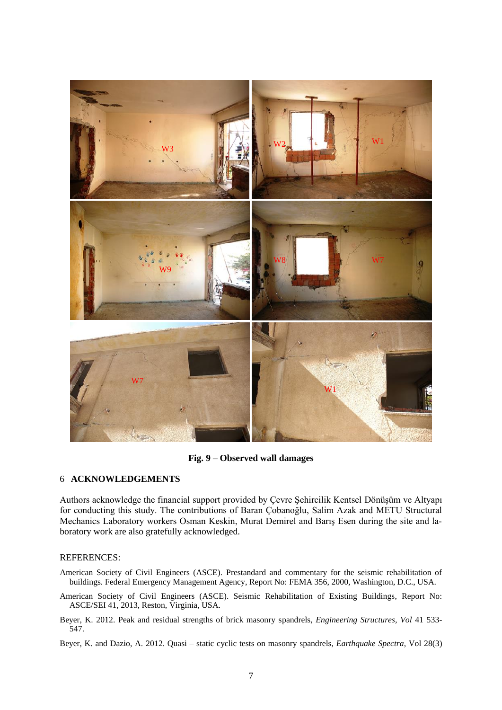

**Fig. 9 – Observed wall damages**

## 6 **ACKNOWLEDGEMENTS**

Authors acknowledge the financial support provided by Çevre Şehircilik Kentsel Dönüşüm ve Altyapı for conducting this study. The contributions of Baran Çobanoğlu, Salim Azak and METU Structural Mechanics Laboratory workers Osman Keskin, Murat Demirel and Barış Esen during the site and laboratory work are also gratefully acknowledged.

#### REFERENCES:

- American Society of Civil Engineers (ASCE). Prestandard and commentary for the seismic rehabilitation of buildings. Federal Emergency Management Agency, Report No: FEMA 356, 2000, Washington, D.C., USA.
- American Society of Civil Engineers (ASCE). Seismic Rehabilitation of Existing Buildings, Report No: ASCE/SEI 41, 2013, Reston, Virginia, USA.
- Beyer, K. 2012. Peak and residual strengths of brick masonry spandrels, *Engineering Structures, Vol* 41 533- 547.
- Beyer, K. and Dazio, A. 2012. Quasi static cyclic tests on masonry spandrels, *Earthquake Spectra*, Vol 28(3)